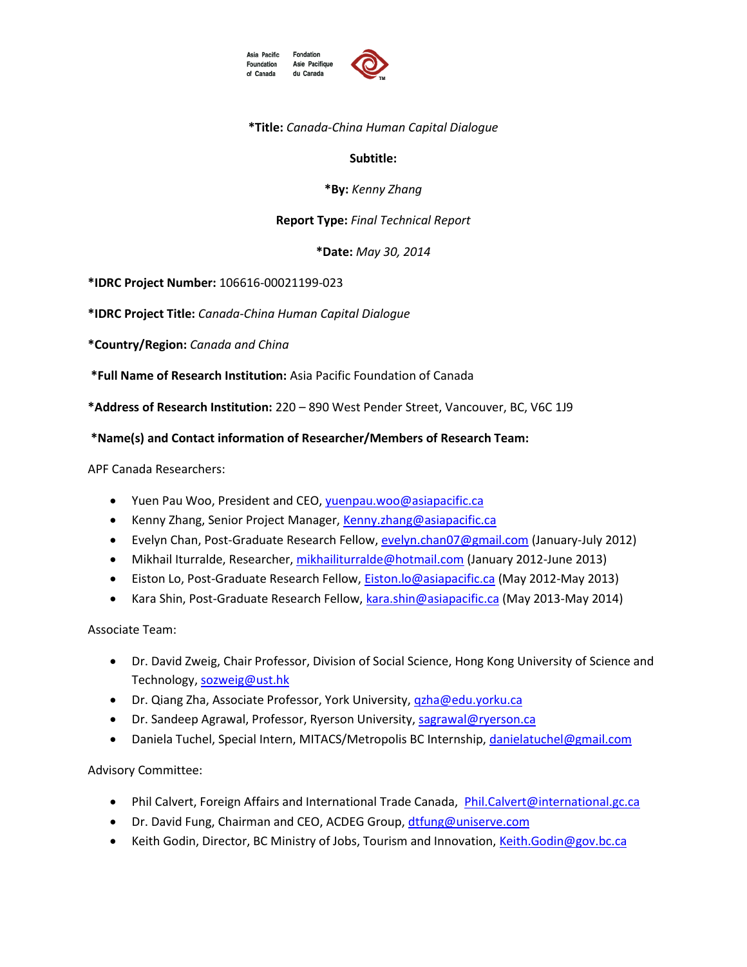



## **\*Title:** *Canada-China Human Capital Dialogue*

### **Subtitle:**

### **\*By:** *Kenny Zhang*

### **Report Type:** *Final Technical Report*

**\*Date:** *May 30, 2014*

**\*IDRC Project Number:** 106616-00021199-023

**\*IDRC Project Title:** *Canada-China Human Capital Dialogue*

**\*Country/Region:** *Canada and China*

**\*Full Name of Research Institution:** Asia Pacific Foundation of Canada

**\*Address of Research Institution:** 220 – 890 West Pender Street, Vancouver, BC, V6C 1J9

## **\*Name(s) and Contact information of Researcher/Members of Research Team:**

APF Canada Researchers:

- Yuen Pau Woo, President and CEO, yuenpau.woo@asiapacific.ca
- Kenny Zhang, Senior Project Manager, [Kenny.zhang@asiapacific.ca](mailto:Kenny.zhang@asiapacific.ca)
- Evelyn Chan, Post-Graduate Research Fellow[, evelyn.chan07@gmail.com](mailto:evelyn.chan07@gmail.com) (January-July 2012)
- Mikhail Iturralde, Researcher, [mikhailiturralde@hotmail.com](mailto:mikhailiturralde@hotmail.com) (January 2012-June 2013)
- **Eiston Lo, Post-Graduate Research Fellow[, Eiston.lo@asiapacific.ca](mailto:Eiston.lo@asiapacific.ca) (May 2012-May 2013)**
- Kara Shin, Post-Graduate Research Fellow, [kara.shin@asiapacific.ca](mailto:kara.shin@asiapacific.ca) (May 2013-May 2014)

Associate Team:

- Dr. David Zweig, Chair Professor, Division of Social Science, Hong Kong University of Science and Technology[, sozweig@ust.hk](mailto:sozweig@ust.hk)
- Dr. Qiang Zha, Associate Professor, York University, *qzha@edu.yorku.ca*
- Dr. Sandeep Agrawal, Professor, Ryerson University, [sagrawal@ryerson.ca](mailto:sagrawal@ryerson.ca)
- Daniela Tuchel, Special Intern, MITACS/Metropolis BC Internship, [danielatuchel@gmail.com](mailto:danielatuchel@gmail.com)

Advisory Committee:

- Phil Calvert, Foreign Affairs and International Trade Canada, [Phil.Calvert@international.gc.ca](mailto:Phil.Calvert@international.gc.ca)
- Dr. David Fung, Chairman and CEO, ACDEG Group[, dtfung@uniserve.com](mailto:dtfung@uniserve.com)
- Keith Godin, Director, BC Ministry of Jobs, Tourism and Innovation, [Keith.Godin@gov.bc.ca](mailto:Keith.Godin@gov.bc.ca)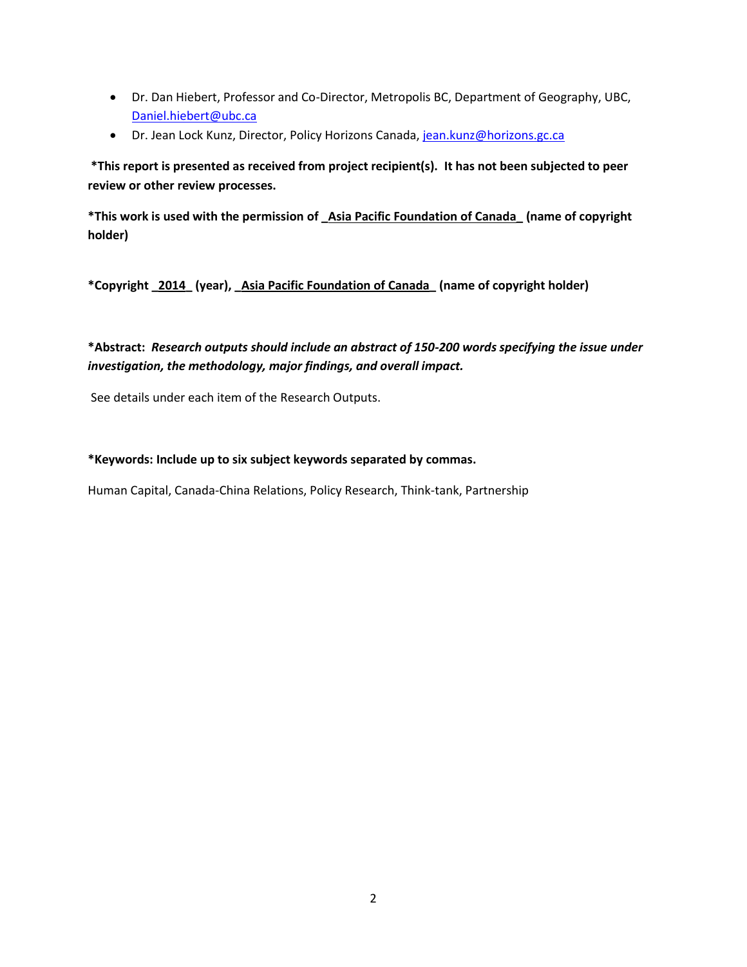- Dr. Dan Hiebert, Professor and Co-Director, Metropolis BC, Department of Geography, UBC, [Daniel.hiebert@ubc.ca](mailto:Daniel.hiebert@ubc.ca)
- Dr. Jean Lock Kunz, Director, Policy Horizons Canada[, jean.kunz@horizons.gc.ca](mailto:jean.kunz@horizons.gc.ca)

**\*This report is presented as received from project recipient(s). It has not been subjected to peer review or other review processes.**

**\*This work is used with the permission of \_Asia Pacific Foundation of Canada\_ (name of copyright holder)**

**\*Copyright \_2014\_ (year), \_Asia Pacific Foundation of Canada\_ (name of copyright holder)**

**\*Abstract:** *Research outputs should include an abstract of 150-200 words specifying the issue under investigation, the methodology, major findings, and overall impact.*

See details under each item of the Research Outputs.

#### **\*Keywords: Include up to six subject keywords separated by commas.**

Human Capital, Canada-China Relations, Policy Research, Think-tank, Partnership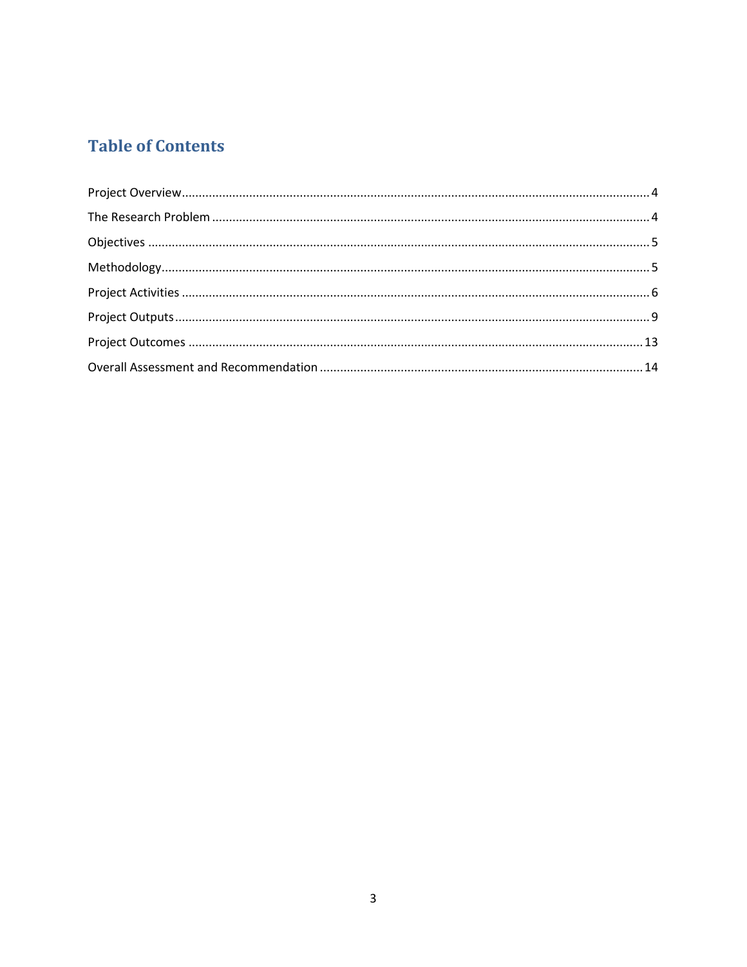# **Table of Contents**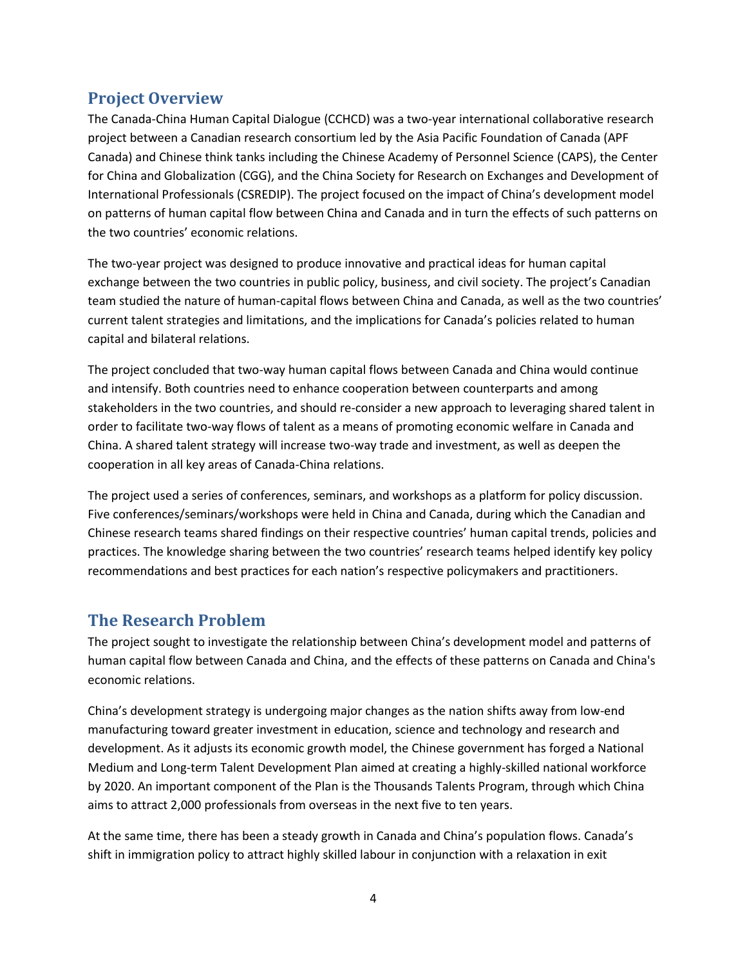# <span id="page-3-0"></span>**Project Overview**

The Canada-China Human Capital Dialogue (CCHCD) was a two-year international collaborative research project between a Canadian research consortium led by the Asia Pacific Foundation of Canada (APF Canada) and Chinese think tanks including the Chinese Academy of Personnel Science (CAPS), the Center for China and Globalization (CGG), and the China Society for Research on Exchanges and Development of International Professionals (CSREDIP). The project focused on the impact of China's development model on patterns of human capital flow between China and Canada and in turn the effects of such patterns on the two countries' economic relations.

The two-year project was designed to produce innovative and practical ideas for human capital exchange between the two countries in public policy, business, and civil society. The project's Canadian team studied the nature of human-capital flows between China and Canada, as well as the two countries' current talent strategies and limitations, and the implications for Canada's policies related to human capital and bilateral relations.

The project concluded that two-way human capital flows between Canada and China would continue and intensify. Both countries need to enhance cooperation between counterparts and among stakeholders in the two countries, and should re-consider a new approach to leveraging shared talent in order to facilitate two-way flows of talent as a means of promoting economic welfare in Canada and China. A shared talent strategy will increase two-way trade and investment, as well as deepen the cooperation in all key areas of Canada-China relations.

The project used a series of conferences, seminars, and workshops as a platform for policy discussion. Five conferences/seminars/workshops were held in China and Canada, during which the Canadian and Chinese research teams shared findings on their respective countries' human capital trends, policies and practices. The knowledge sharing between the two countries' research teams helped identify key policy recommendations and best practices for each nation's respective policymakers and practitioners.

# <span id="page-3-1"></span>**The Research Problem**

The project sought to investigate the relationship between China's development model and patterns of human capital flow between Canada and China, and the effects of these patterns on Canada and China's economic relations.

China's development strategy is undergoing major changes as the nation shifts away from low-end manufacturing toward greater investment in education, science and technology and research and development. As it adjusts its economic growth model, the Chinese government has forged a National Medium and Long-term Talent Development Plan aimed at creating a highly-skilled national workforce by 2020. An important component of the Plan is the Thousands Talents Program, through which China aims to attract 2,000 professionals from overseas in the next five to ten years.

At the same time, there has been a steady growth in Canada and China's population flows. Canada's shift in immigration policy to attract highly skilled labour in conjunction with a relaxation in exit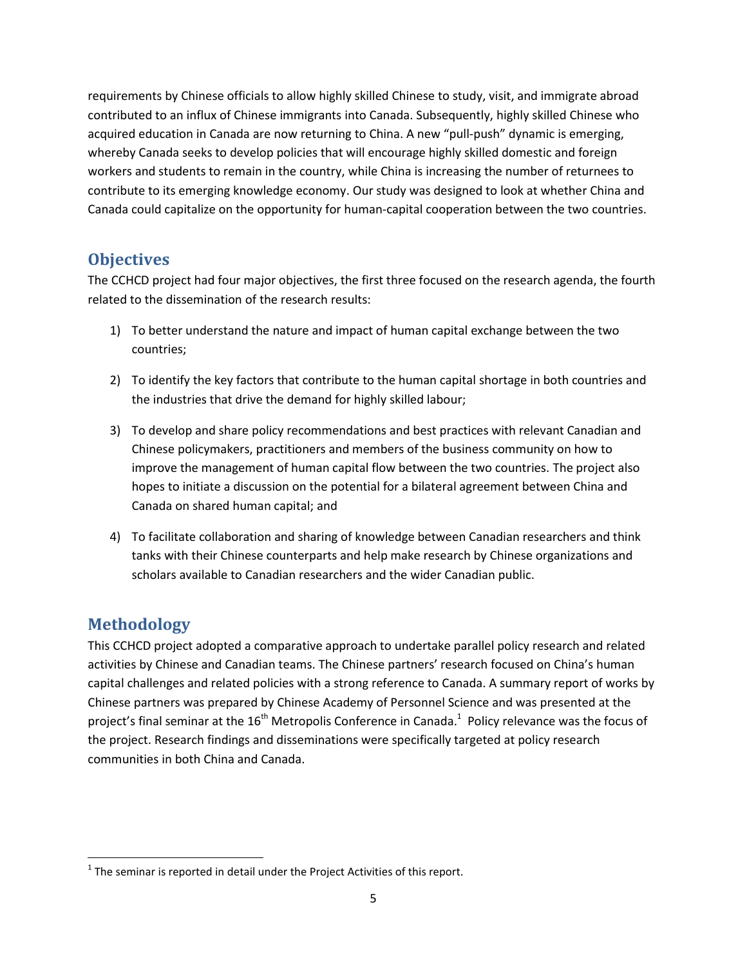requirements by Chinese officials to allow highly skilled Chinese to study, visit, and immigrate abroad contributed to an influx of Chinese immigrants into Canada. Subsequently, highly skilled Chinese who acquired education in Canada are now returning to China. A new "pull-push" dynamic is emerging, whereby Canada seeks to develop policies that will encourage highly skilled domestic and foreign workers and students to remain in the country, while China is increasing the number of returnees to contribute to its emerging knowledge economy. Our study was designed to look at whether China and Canada could capitalize on the opportunity for human-capital cooperation between the two countries.

# <span id="page-4-0"></span>**Objectives**

The CCHCD project had four major objectives, the first three focused on the research agenda, the fourth related to the dissemination of the research results:

- 1) To better understand the nature and impact of human capital exchange between the two countries;
- 2) To identify the key factors that contribute to the human capital shortage in both countries and the industries that drive the demand for highly skilled labour;
- 3) To develop and share policy recommendations and best practices with relevant Canadian and Chinese policymakers, practitioners and members of the business community on how to improve the management of human capital flow between the two countries. The project also hopes to initiate a discussion on the potential for a bilateral agreement between China and Canada on shared human capital; and
- 4) To facilitate collaboration and sharing of knowledge between Canadian researchers and think tanks with their Chinese counterparts and help make research by Chinese organizations and scholars available to Canadian researchers and the wider Canadian public.

# <span id="page-4-1"></span>**Methodology**

 $\overline{\phantom{a}}$ 

This CCHCD project adopted a comparative approach to undertake parallel policy research and related activities by Chinese and Canadian teams. The Chinese partners' research focused on China's human capital challenges and related policies with a strong reference to Canada. A summary report of works by Chinese partners was prepared by Chinese Academy of Personnel Science and was presented at the project's final seminar at the 16<sup>th</sup> Metropolis Conference in Canada.<sup>1</sup> Policy relevance was the focus of the project. Research findings and disseminations were specifically targeted at policy research communities in both China and Canada.

 $<sup>1</sup>$  The seminar is reported in detail under the Project Activities of this report.</sup>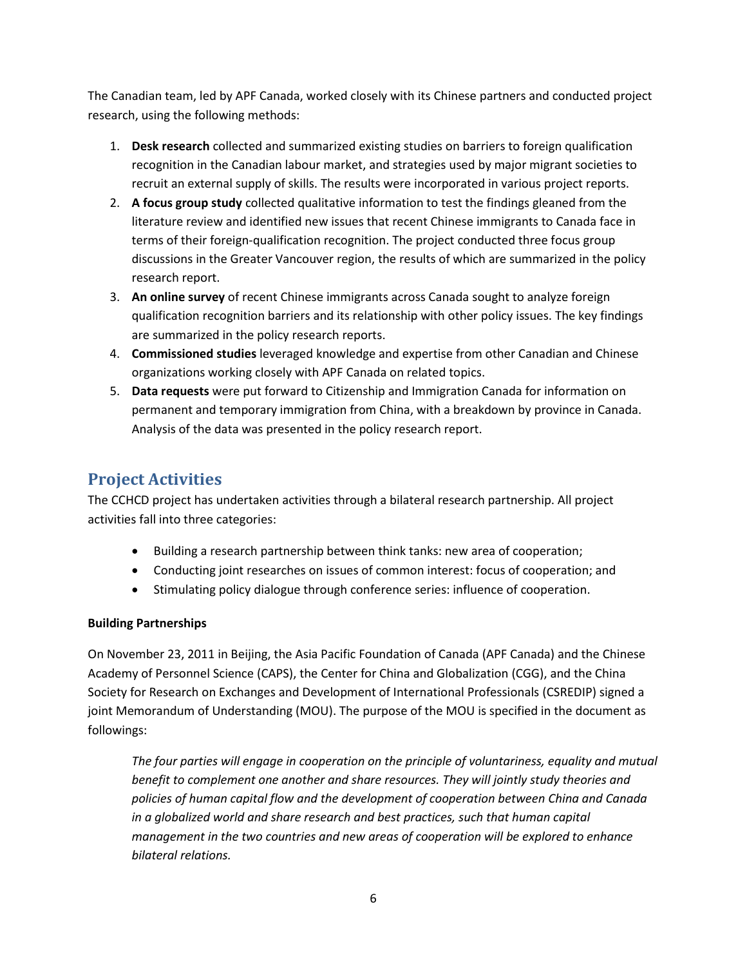The Canadian team, led by APF Canada, worked closely with its Chinese partners and conducted project research, using the following methods:

- 1. **Desk research** collected and summarized existing studies on barriers to foreign qualification recognition in the Canadian labour market, and strategies used by major migrant societies to recruit an external supply of skills. The results were incorporated in various project reports.
- 2. **A focus group study** collected qualitative information to test the findings gleaned from the literature review and identified new issues that recent Chinese immigrants to Canada face in terms of their foreign-qualification recognition. The project conducted three focus group discussions in the Greater Vancouver region, the results of which are summarized in the policy research report.
- 3. **An online survey** of recent Chinese immigrants across Canada sought to analyze foreign qualification recognition barriers and its relationship with other policy issues. The key findings are summarized in the policy research reports.
- 4. **Commissioned studies** leveraged knowledge and expertise from other Canadian and Chinese organizations working closely with APF Canada on related topics.
- 5. **Data requests** were put forward to Citizenship and Immigration Canada for information on permanent and temporary immigration from China, with a breakdown by province in Canada. Analysis of the data was presented in the policy research report.

# <span id="page-5-0"></span>**Project Activities**

The CCHCD project has undertaken activities through a bilateral research partnership. All project activities fall into three categories:

- Building a research partnership between think tanks: new area of cooperation;
- Conducting joint researches on issues of common interest: focus of cooperation; and
- Stimulating policy dialogue through conference series: influence of cooperation.

# **Building Partnerships**

On November 23, 2011 in Beijing, the Asia Pacific Foundation of Canada (APF Canada) and the Chinese Academy of Personnel Science (CAPS), the Center for China and Globalization (CGG), and the China Society for Research on Exchanges and Development of International Professionals (CSREDIP) signed a joint Memorandum of Understanding (MOU). The purpose of the MOU is specified in the document as followings:

*The four parties will engage in cooperation on the principle of voluntariness, equality and mutual benefit to complement one another and share resources. They will jointly study theories and policies of human capital flow and the development of cooperation between China and Canada*  in a globalized world and share research and best practices, such that human capital *management in the two countries and new areas of cooperation will be explored to enhance bilateral relations.*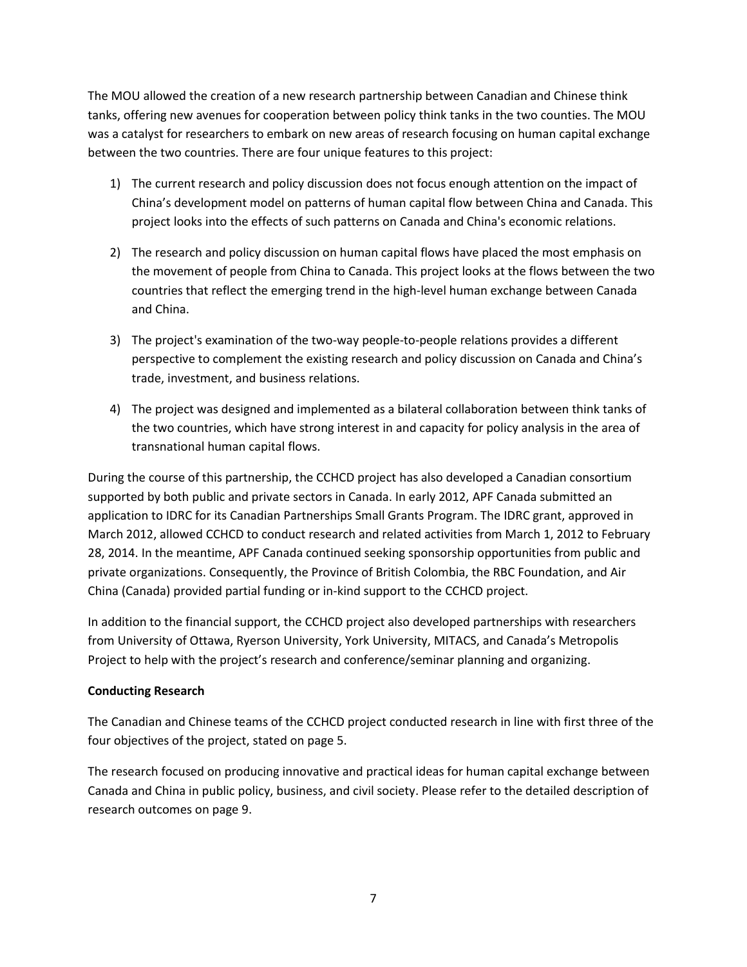The MOU allowed the creation of a new research partnership between Canadian and Chinese think tanks, offering new avenues for cooperation between policy think tanks in the two counties. The MOU was a catalyst for researchers to embark on new areas of research focusing on human capital exchange between the two countries. There are four unique features to this project:

- 1) The current research and policy discussion does not focus enough attention on the impact of China's development model on patterns of human capital flow between China and Canada. This project looks into the effects of such patterns on Canada and China's economic relations.
- 2) The research and policy discussion on human capital flows have placed the most emphasis on the movement of people from China to Canada. This project looks at the flows between the two countries that reflect the emerging trend in the high-level human exchange between Canada and China.
- 3) The project's examination of the two-way people-to-people relations provides a different perspective to complement the existing research and policy discussion on Canada and China's trade, investment, and business relations.
- 4) The project was designed and implemented as a bilateral collaboration between think tanks of the two countries, which have strong interest in and capacity for policy analysis in the area of transnational human capital flows.

During the course of this partnership, the CCHCD project has also developed a Canadian consortium supported by both public and private sectors in Canada. In early 2012, APF Canada submitted an application to IDRC for its Canadian Partnerships Small Grants Program. The IDRC grant, approved in March 2012, allowed CCHCD to conduct research and related activities from March 1, 2012 to February 28, 2014. In the meantime, APF Canada continued seeking sponsorship opportunities from public and private organizations. Consequently, the Province of British Colombia, the RBC Foundation, and Air China (Canada) provided partial funding or in-kind support to the CCHCD project.

In addition to the financial support, the CCHCD project also developed partnerships with researchers from University of Ottawa, Ryerson University, York University, MITACS, and Canada's Metropolis Project to help with the project's research and conference/seminar planning and organizing.

# **Conducting Research**

The Canadian and Chinese teams of the CCHCD project conducted research in line with first three of the four objectives of the project, stated on page 5.

The research focused on producing innovative and practical ideas for human capital exchange between Canada and China in public policy, business, and civil society. Please refer to the detailed description of research outcomes on page 9.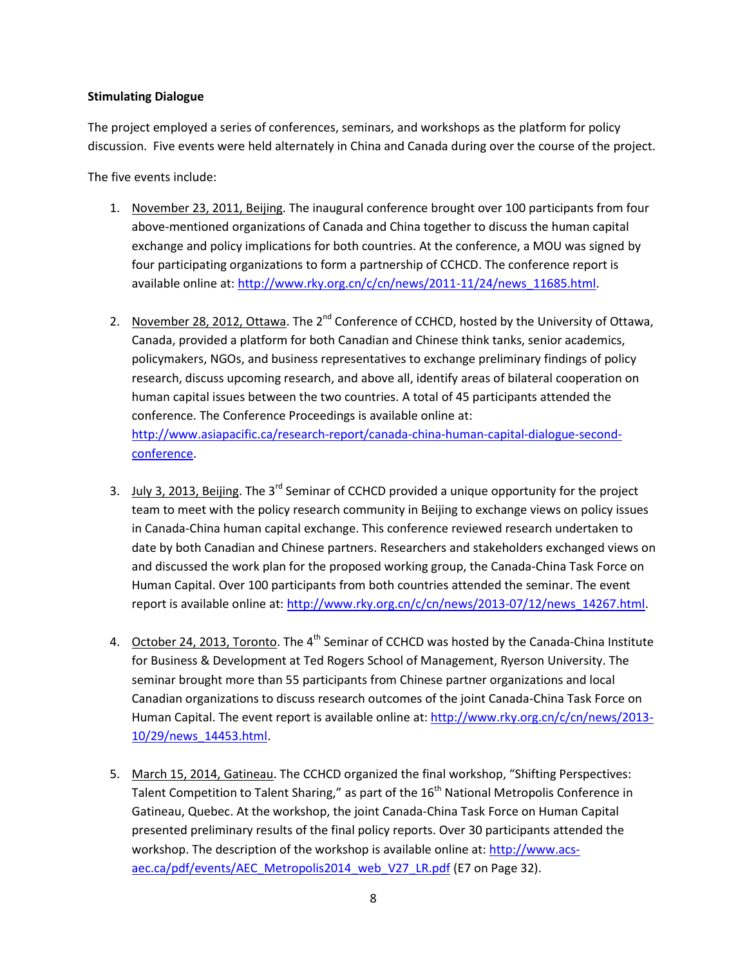### **Stimulating Dialogue**

The project employed a series of conferences, seminars, and workshops as the platform for policy discussion. Five events were held alternately in China and Canada during over the course of the project.

The five events include:

- 1. November 23, 2011, Beijing. The inaugural conference brought over 100 participants from four above-mentioned organizations of Canada and China together to discuss the human capital exchange and policy implications for both countries. At the conference, a MOU was signed by four participating organizations to form a partnership of CCHCD. The conference report is available online at: [http://www.rky.org.cn/c/cn/news/2011-11/24/news\\_11685.html.](http://www.rky.org.cn/c/cn/news/2011-11/24/news_11685.html)
- 2. November 28, 2012, Ottawa. The 2<sup>nd</sup> Conference of CCHCD, hosted by the University of Ottawa, Canada, provided a platform for both Canadian and Chinese think tanks, senior academics, policymakers, NGOs, and business representatives to exchange preliminary findings of policy research, discuss upcoming research, and above all, identify areas of bilateral cooperation on human capital issues between the two countries. A total of 45 participants attended the conference. The Conference Proceedings is available online at: [http://www.asiapacific.ca/research-report/canada-china-human-capital-dialogue-second](http://www.asiapacific.ca/research-report/canada-china-human-capital-dialogue-second-conference)[conference.](http://www.asiapacific.ca/research-report/canada-china-human-capital-dialogue-second-conference)
- 3. July 3, 2013, Beijing. The  $3^{rd}$  Seminar of CCHCD provided a unique opportunity for the project team to meet with the policy research community in Beijing to exchange views on policy issues in Canada-China human capital exchange. This conference reviewed research undertaken to date by both Canadian and Chinese partners. Researchers and stakeholders exchanged views on and discussed the work plan for the proposed working group, the Canada-China Task Force on Human Capital. Over 100 participants from both countries attended the seminar. The event report is available online at: [http://www.rky.org.cn/c/cn/news/2013-07/12/news\\_14267.html.](http://www.rky.org.cn/c/cn/news/2013-07/12/news_14267.html)
- 4. October 24, 2013, Toronto. The 4<sup>th</sup> Seminar of CCHCD was hosted by the Canada-China Institute for Business & Development at Ted Rogers School of Management, Ryerson University. The seminar brought more than 55 participants from Chinese partner organizations and local Canadian organizations to discuss research outcomes of the joint Canada-China Task Force on Human Capital. The event report is available online at: [http://www.rky.org.cn/c/cn/news/2013-](http://www.rky.org.cn/c/cn/news/2013-10/29/news_14453.html) [10/29/news\\_14453.html.](http://www.rky.org.cn/c/cn/news/2013-10/29/news_14453.html)
- 5. March 15, 2014, Gatineau. The CCHCD organized the final workshop, "Shifting Perspectives: Talent Competition to Talent Sharing," as part of the  $16<sup>th</sup>$  National Metropolis Conference in Gatineau, Quebec. At the workshop, the joint Canada-China Task Force on Human Capital presented preliminary results of the final policy reports. Over 30 participants attended the workshop. The description of the workshop is available online at: [http://www.acs](http://www.acs-aec.ca/pdf/events/AEC_Metropolis2014_web_V27_LR.pdf)[aec.ca/pdf/events/AEC\\_Metropolis2014\\_web\\_V27\\_LR.pdf](http://www.acs-aec.ca/pdf/events/AEC_Metropolis2014_web_V27_LR.pdf) (E7 on Page 32).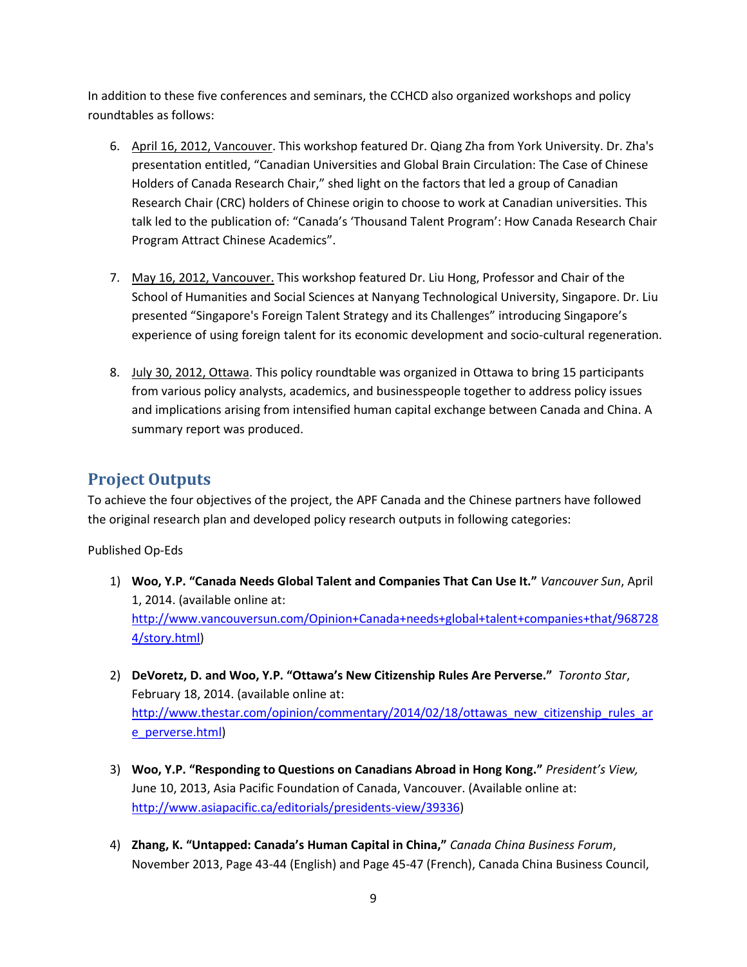In addition to these five conferences and seminars, the CCHCD also organized workshops and policy roundtables as follows:

- 6. April 16, 2012, Vancouver. This workshop featured Dr. Qiang Zha from York University. Dr. Zha's presentation entitled, "Canadian Universities and Global Brain Circulation: The Case of Chinese Holders of Canada Research Chair," shed light on the factors that led a group of Canadian Research Chair (CRC) holders of Chinese origin to choose to work at Canadian universities. This talk led to the publication of: "Canada's 'Thousand Talent Program': How Canada Research Chair Program Attract Chinese Academics".
- 7. May 16, 2012, Vancouver. This workshop featured Dr. Liu Hong, Professor and Chair of the School of Humanities and Social Sciences at Nanyang Technological University, Singapore. Dr. Liu presented "Singapore's Foreign Talent Strategy and its Challenges" introducing Singapore's experience of using foreign talent for its economic development and socio-cultural regeneration.
- 8. July 30, 2012, Ottawa. This policy roundtable was organized in Ottawa to bring 15 participants from various policy analysts, academics, and businesspeople together to address policy issues and implications arising from intensified human capital exchange between Canada and China. A summary report was produced.

# <span id="page-8-0"></span>**Project Outputs**

To achieve the four objectives of the project, the APF Canada and the Chinese partners have followed the original research plan and developed policy research outputs in following categories:

Published Op-Eds

- 1) **Woo, Y.P. "Canada Needs Global Talent and Companies That Can Use It."** *Vancouver Sun*, April 1, 2014. (available online at: [http://www.vancouversun.com/Opinion+Canada+needs+global+talent+companies+that/968728](http://www.vancouversun.com/Opinion+Canada+needs+global+talent+companies+that/9687284/story.html) [4/story.html\)](http://www.vancouversun.com/Opinion+Canada+needs+global+talent+companies+that/9687284/story.html)
- 2) **DeVoretz, D. and Woo, Y.P. "Ottawa's New Citizenship Rules Are Perverse."** *Toronto Star*, February 18, 2014. (available online at: [http://www.thestar.com/opinion/commentary/2014/02/18/ottawas\\_new\\_citizenship\\_rules\\_ar](http://www.thestar.com/opinion/commentary/2014/02/18/ottawas_new_citizenship_rules_are_perverse.html) [e\\_perverse.html\)](http://www.thestar.com/opinion/commentary/2014/02/18/ottawas_new_citizenship_rules_are_perverse.html)
- 3) **Woo, Y.P. "Responding to Questions on Canadians Abroad in Hong Kong."** *President's View,*  June 10, 2013, Asia Pacific Foundation of Canada, Vancouver. (Available online at: [http://www.asiapacific.ca/editorials/presidents-view/39336\)](http://www.asiapacific.ca/editorials/presidents-view/39336)
- 4) **Zhang, K. "Untapped: Canada's Human Capital in China,"** *Canada China Business Forum*, November 2013, Page 43-44 (English) and Page 45-47 (French), Canada China Business Council,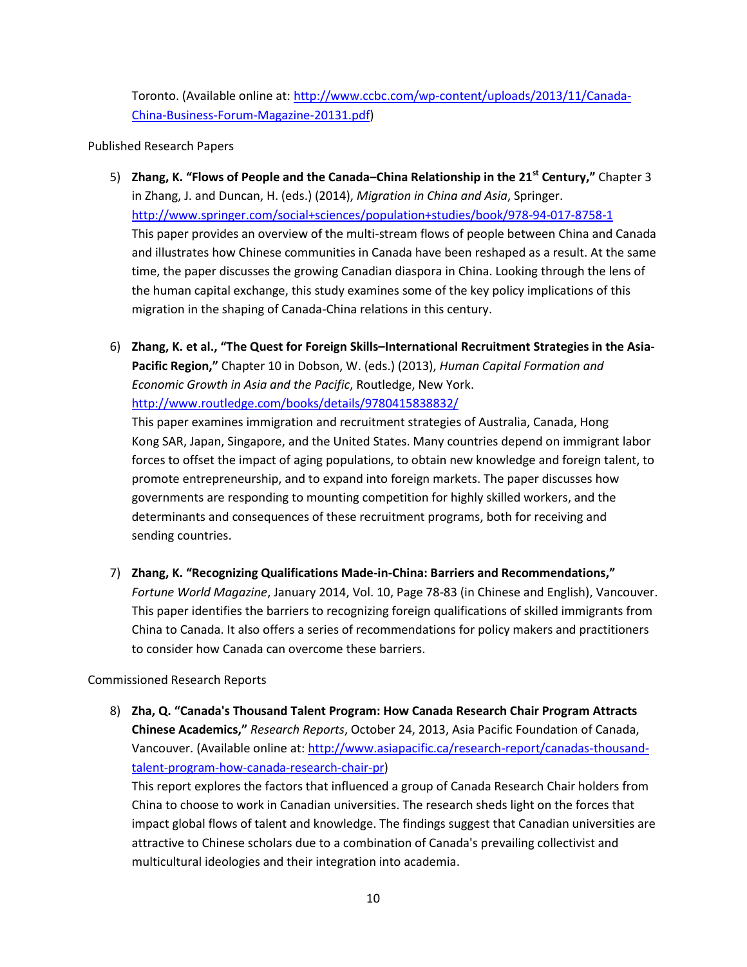Toronto. (Available online at[: http://www.ccbc.com/wp-content/uploads/2013/11/Canada-](http://www.ccbc.com/wp-content/uploads/2013/11/Canada-China-Business-Forum-Magazine-20131.pdf)[China-Business-Forum-Magazine-20131.pdf\)](http://www.ccbc.com/wp-content/uploads/2013/11/Canada-China-Business-Forum-Magazine-20131.pdf)

### Published Research Papers

- 5) **Zhang, K. "Flows of People and the Canada–China Relationship in the 21st Century,"** Chapter 3 in Zhang, J. and Duncan, H. (eds.) (2014), *Migration in China and Asia*, Springer. <http://www.springer.com/social+sciences/population+studies/book/978-94-017-8758-1> This paper provides an overview of the multi-stream flows of people between China and Canada and illustrates how Chinese communities in Canada have been reshaped as a result. At the same time, the paper discusses the growing Canadian diaspora in China. Looking through the lens of the human capital exchange, this study examines some of the key policy implications of this migration in the shaping of Canada-China relations in this century.
- 6) **Zhang, K. et al., "The Quest for Foreign Skills–International Recruitment Strategies in the Asia-Pacific Region,"** Chapter 10 in Dobson, W. (eds.) (2013), *Human Capital Formation and Economic Growth in Asia and the Pacific*, Routledge, New York. <http://www.routledge.com/books/details/9780415838832/>

This paper examines immigration and recruitment strategies of Australia, Canada, Hong Kong SAR, Japan, Singapore, and the United States. Many countries depend on immigrant labor forces to offset the impact of aging populations, to obtain new knowledge and foreign talent, to promote entrepreneurship, and to expand into foreign markets. The paper discusses how governments are responding to mounting competition for highly skilled workers, and the determinants and consequences of these recruitment programs, both for receiving and sending countries.

7) **Zhang, K. "Recognizing Qualifications Made-in-China: Barriers and Recommendations,"** *Fortune World Magazine*, January 2014, Vol. 10, Page 78-83 (in Chinese and English), Vancouver. This paper identifies the barriers to recognizing foreign qualifications of skilled immigrants from China to Canada. It also offers a series of recommendations for policy makers and practitioners to consider how Canada can overcome these barriers.

# Commissioned Research Reports

8) **Zha, Q. "Canada's Thousand Talent Program: How Canada Research Chair Program Attracts Chinese Academics,"** *Research Reports*, October 24, 2013, Asia Pacific Foundation of Canada, Vancouver. (Available online at: [http://www.asiapacific.ca/research-report/canadas-thousand](http://www.asiapacific.ca/research-report/canadas-thousand-talent-program-how-canada-research-chair-pr)[talent-program-how-canada-research-chair-pr\)](http://www.asiapacific.ca/research-report/canadas-thousand-talent-program-how-canada-research-chair-pr)

This report explores the factors that influenced a group of Canada Research Chair holders from China to choose to work in Canadian universities. The research sheds light on the forces that impact global flows of talent and knowledge. The findings suggest that Canadian universities are attractive to Chinese scholars due to a combination of Canada's prevailing collectivist and multicultural ideologies and their integration into academia.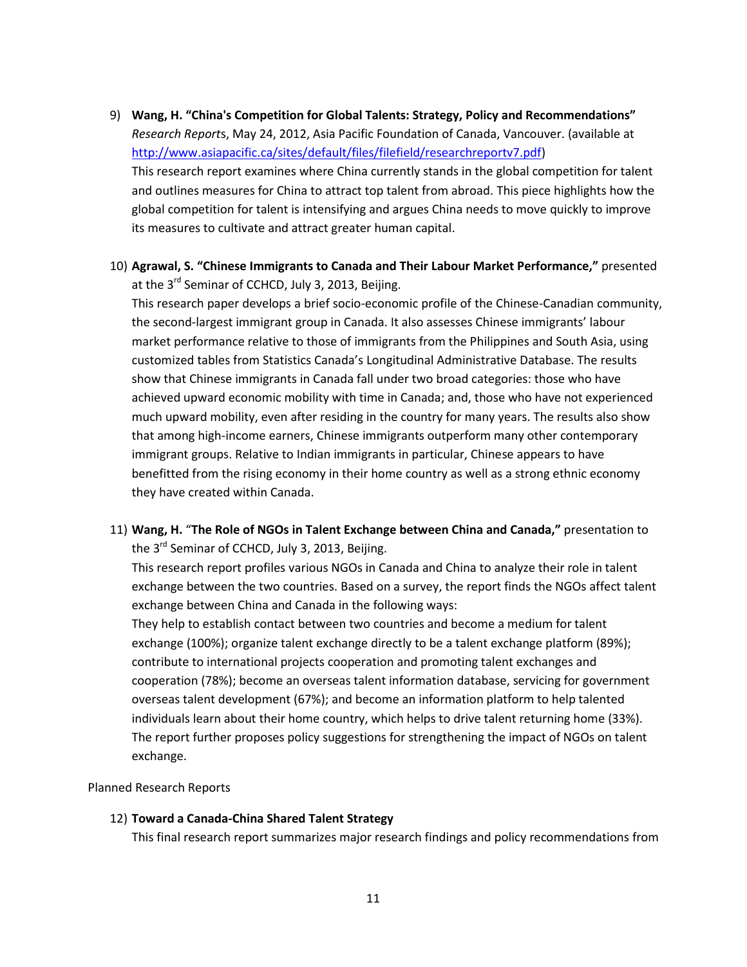- 9) **Wang, H. "China's Competition for Global Talents: Strategy, Policy and Recommendations"** *Research Report*s, May 24, 2012, Asia Pacific Foundation of Canada, Vancouver. (available at [http://www.asiapacific.ca/sites/default/files/filefield/researchreportv7.pdf\)](http://www.asiapacific.ca/sites/default/files/filefield/researchreportv7.pdf) This research report examines where China currently stands in the global competition for talent and outlines measures for China to attract top talent from abroad. This piece highlights how the global competition for talent is intensifying and argues China needs to move quickly to improve its measures to cultivate and attract greater human capital.
- 10) **Agrawal, S. "Chinese Immigrants to Canada and Their Labour Market Performance,"** presented at the 3<sup>rd</sup> Seminar of CCHCD, July 3, 2013, Beijing.

This research paper develops a brief socio-economic profile of the Chinese-Canadian community, the second-largest immigrant group in Canada. It also assesses Chinese immigrants' labour market performance relative to those of immigrants from the Philippines and South Asia, using customized tables from Statistics Canada's Longitudinal Administrative Database. The results show that Chinese immigrants in Canada fall under two broad categories: those who have achieved upward economic mobility with time in Canada; and, those who have not experienced much upward mobility, even after residing in the country for many years. The results also show that among high-income earners, Chinese immigrants outperform many other contemporary immigrant groups. Relative to Indian immigrants in particular, Chinese appears to have benefitted from the rising economy in their home country as well as a strong ethnic economy they have created within Canada.

11) **Wang, H.** "**The Role of NGOs in Talent Exchange between China and Canada,"** presentation to the 3<sup>rd</sup> Seminar of CCHCD, July 3, 2013, Beijing.

This research report profiles various NGOs in Canada and China to analyze their role in talent exchange between the two countries. Based on a survey, the report finds the NGOs affect talent exchange between China and Canada in the following ways:

They help to establish contact between two countries and become a medium for talent exchange (100%); organize talent exchange directly to be a talent exchange platform (89%); contribute to international projects cooperation and promoting talent exchanges and cooperation (78%); become an overseas talent information database, servicing for government overseas talent development (67%); and become an information platform to help talented individuals learn about their home country, which helps to drive talent returning home (33%). The report further proposes policy suggestions for strengthening the impact of NGOs on talent exchange.

#### Planned Research Reports

#### 12) **Toward a Canada-China Shared Talent Strategy**

This final research report summarizes major research findings and policy recommendations from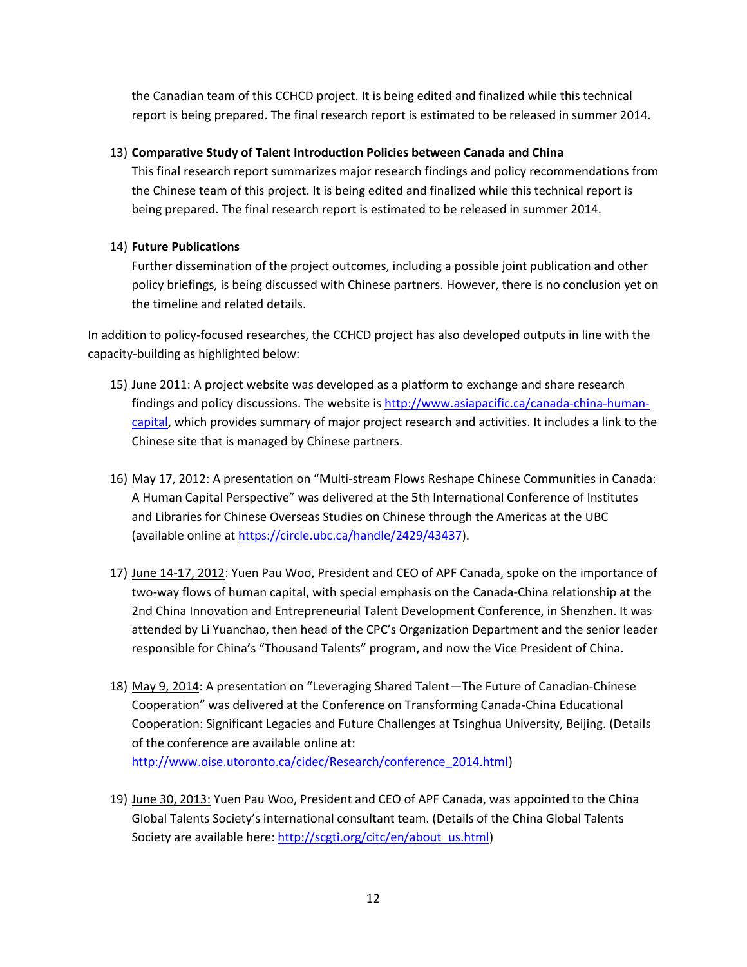the Canadian team of this CCHCD project. It is being edited and finalized while this technical report is being prepared. The final research report is estimated to be released in summer 2014.

## 13) **Comparative Study of Talent Introduction Policies between Canada and China**

This final research report summarizes major research findings and policy recommendations from the Chinese team of this project. It is being edited and finalized while this technical report is being prepared. The final research report is estimated to be released in summer 2014.

## 14) **Future Publications**

Further dissemination of the project outcomes, including a possible joint publication and other policy briefings, is being discussed with Chinese partners. However, there is no conclusion yet on the timeline and related details.

In addition to policy-focused researches, the CCHCD project has also developed outputs in line with the capacity-building as highlighted below:

- 15) June 2011: A project website was developed as a platform to exchange and share research findings and policy discussions. The website is [http://www.asiapacific.ca/canada-china-human](http://www.asiapacific.ca/canada-china-human-capital)[capital,](http://www.asiapacific.ca/canada-china-human-capital) which provides summary of major project research and activities. It includes a link to the Chinese site that is managed by Chinese partners.
- 16) May 17, 2012: A presentation on "Multi-stream Flows Reshape Chinese Communities in Canada: A Human Capital Perspective" was delivered at the 5th International Conference of Institutes and Libraries for Chinese Overseas Studies on Chinese through the Americas at the UBC (available online at [https://circle.ubc.ca/handle/2429/43437\)](https://circle.ubc.ca/handle/2429/43437).
- 17) June 14-17, 2012: Yuen Pau Woo, President and CEO of APF Canada, spoke on the importance of two-way flows of human capital, with special emphasis on the Canada-China relationship at the 2nd China Innovation and Entrepreneurial Talent Development Conference, in Shenzhen. It was attended by Li Yuanchao, then head of the CPC's Organization Department and the senior leader responsible for China's "Thousand Talents" program, and now the Vice President of China.
- 18) May 9, 2014: A presentation on "Leveraging Shared Talent—The Future of Canadian-Chinese Cooperation" was delivered at the Conference on Transforming Canada-China Educational Cooperation: Significant Legacies and Future Challenges at Tsinghua University, Beijing. (Details of the conference are available online at: [http://www.oise.utoronto.ca/cidec/Research/conference\\_2014.html\)](http://www.oise.utoronto.ca/cidec/Research/conference_2014.html)
- 19) June 30, 2013: Yuen Pau Woo, President and CEO of APF Canada, was appointed to the China Global Talents Society's international consultant team. (Details of the China Global Talents Society are available here: [http://scgti.org/citc/en/about\\_us.html\)](http://scgti.org/citc/en/about_us.html)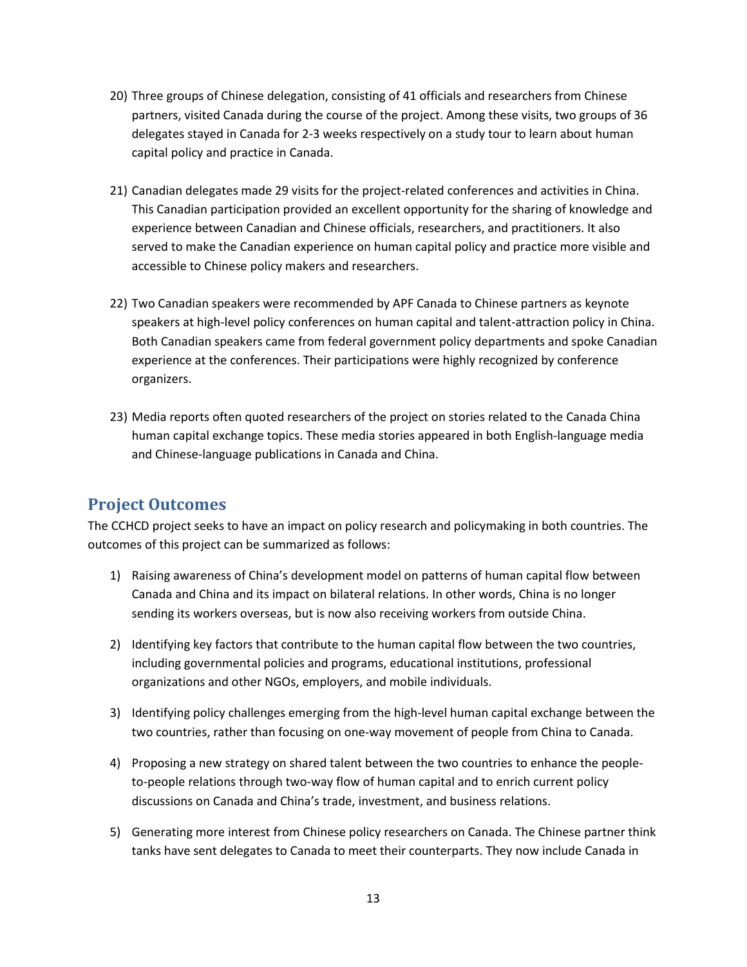- 20) Three groups of Chinese delegation, consisting of 41 officials and researchers from Chinese partners, visited Canada during the course of the project. Among these visits, two groups of 36 delegates stayed in Canada for 2-3 weeks respectively on a study tour to learn about human capital policy and practice in Canada.
- 21) Canadian delegates made 29 visits for the project-related conferences and activities in China. This Canadian participation provided an excellent opportunity for the sharing of knowledge and experience between Canadian and Chinese officials, researchers, and practitioners. It also served to make the Canadian experience on human capital policy and practice more visible and accessible to Chinese policy makers and researchers.
- 22) Two Canadian speakers were recommended by APF Canada to Chinese partners as keynote speakers at high-level policy conferences on human capital and talent-attraction policy in China. Both Canadian speakers came from federal government policy departments and spoke Canadian experience at the conferences. Their participations were highly recognized by conference organizers.
- 23) Media reports often quoted researchers of the project on stories related to the Canada China human capital exchange topics. These media stories appeared in both English-language media and Chinese-language publications in Canada and China.

# <span id="page-12-0"></span>**Project Outcomes**

The CCHCD project seeks to have an impact on policy research and policymaking in both countries. The outcomes of this project can be summarized as follows:

- 1) Raising awareness of China's development model on patterns of human capital flow between Canada and China and its impact on bilateral relations. In other words, China is no longer sending its workers overseas, but is now also receiving workers from outside China.
- 2) Identifying key factors that contribute to the human capital flow between the two countries, including governmental policies and programs, educational institutions, professional organizations and other NGOs, employers, and mobile individuals.
- 3) Identifying policy challenges emerging from the high-level human capital exchange between the two countries, rather than focusing on one-way movement of people from China to Canada.
- 4) Proposing a new strategy on shared talent between the two countries to enhance the peopleto-people relations through two-way flow of human capital and to enrich current policy discussions on Canada and China's trade, investment, and business relations.
- 5) Generating more interest from Chinese policy researchers on Canada. The Chinese partner think tanks have sent delegates to Canada to meet their counterparts. They now include Canada in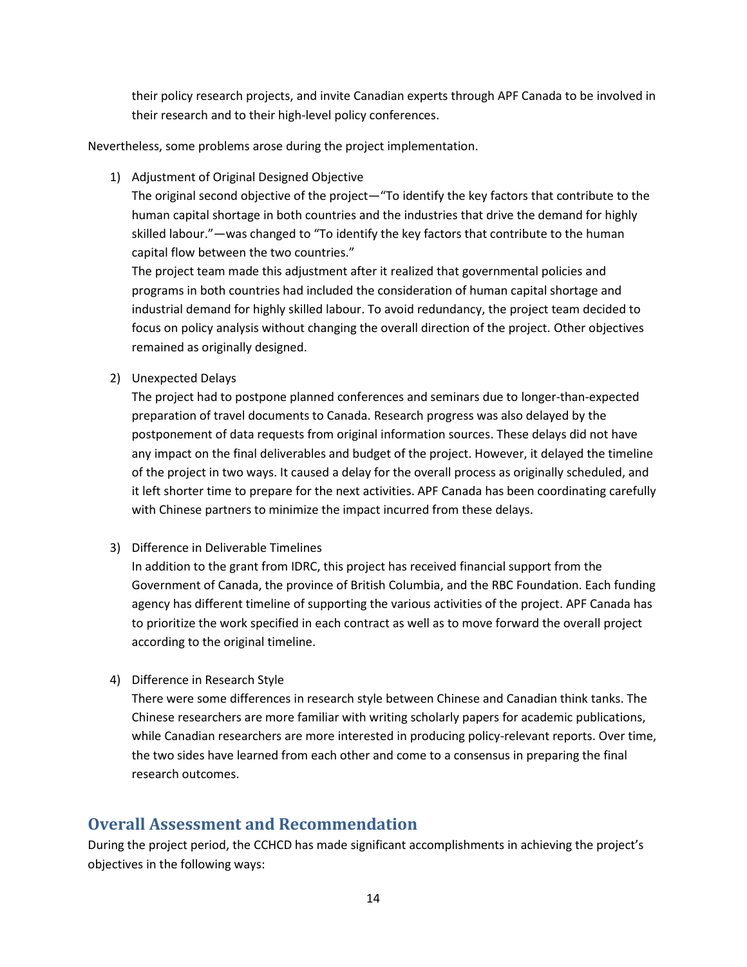their policy research projects, and invite Canadian experts through APF Canada to be involved in their research and to their high-level policy conferences.

Nevertheless, some problems arose during the project implementation.

1) Adjustment of Original Designed Objective

The original second objective of the project—"To identify the key factors that contribute to the human capital shortage in both countries and the industries that drive the demand for highly skilled labour."—was changed to "To identify the key factors that contribute to the human capital flow between the two countries."

The project team made this adjustment after it realized that governmental policies and programs in both countries had included the consideration of human capital shortage and industrial demand for highly skilled labour. To avoid redundancy, the project team decided to focus on policy analysis without changing the overall direction of the project. Other objectives remained as originally designed.

2) Unexpected Delays

The project had to postpone planned conferences and seminars due to longer-than-expected preparation of travel documents to Canada. Research progress was also delayed by the postponement of data requests from original information sources. These delays did not have any impact on the final deliverables and budget of the project. However, it delayed the timeline of the project in two ways. It caused a delay for the overall process as originally scheduled, and it left shorter time to prepare for the next activities. APF Canada has been coordinating carefully with Chinese partners to minimize the impact incurred from these delays.

3) Difference in Deliverable Timelines

In addition to the grant from IDRC, this project has received financial support from the Government of Canada, the province of British Columbia, and the RBC Foundation. Each funding agency has different timeline of supporting the various activities of the project. APF Canada has to prioritize the work specified in each contract as well as to move forward the overall project according to the original timeline.

4) Difference in Research Style

There were some differences in research style between Chinese and Canadian think tanks. The Chinese researchers are more familiar with writing scholarly papers for academic publications, while Canadian researchers are more interested in producing policy-relevant reports. Over time, the two sides have learned from each other and come to a consensus in preparing the final research outcomes.

# <span id="page-13-0"></span>**Overall Assessment and Recommendation**

During the project period, the CCHCD has made significant accomplishments in achieving the project's objectives in the following ways: